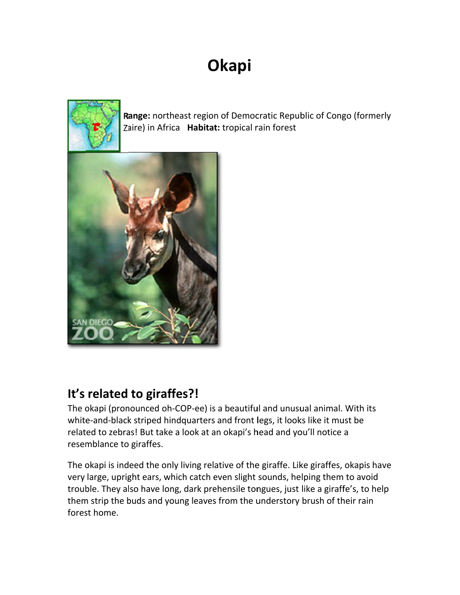# Okapi



Range: northeast region of Democratic Republic of Congo (formerly Zaire) in Africa Habitat: tropical rain forest



#### It's related to giraffes?!

The okapi (pronounced oh-COP-ee) is a beautiful and unusual animal. With its white-and-black striped hindquarters and front legs, it looks like it must be related to zebras! But take a look at an okapi's head and you'll notice a resemblance to giraffes.

The okapi is indeed the only living relative of the giraffe. Like giraffes, okapis have very large, upright ears, which catch even slight sounds, helping them to avoid trouble. They also have long, dark prehensile tongues, just like a giraffe's, to help them strip the buds and young leaves from the understory brush of their rain forest home.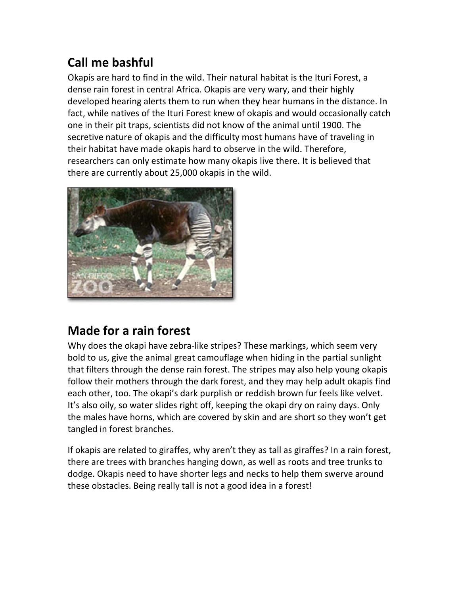# Call me bashful

Okapis are hard to find in the wild. Their natural habitat is the Ituri Forest, a dense rain forest in central Africa. Okapis are very wary, and their highly developed hearing alerts them to run when they hear humans in the distance. In fact, while natives of the Ituri Forest knew of okapis and would occasionally catch one in their pit traps, scientists did not know of the animal until 1900. The secretive nature of okapis and the difficulty most humans have of traveling in their habitat have made okapis hard to observe in the wild. Therefore, researchers can only estimate how many okapis live there. It is believed that there are currently about 25,000 okapis in the wild.



## Made for a rain forest

Why does the okapi have zebra-like stripes? These markings, which seem very bold to us, give the animal great camouflage when hiding in the partial sunlight that filters through the dense rain forest. The stripes may also help young okapis follow their mothers through the dark forest, and they may help adult okapis find each other, too. The okapi's dark purplish or reddish brown fur feels like velvet. It's also oily, so water slides right off, keeping the okapi dry on rainy days. Only the males have horns, which are covered by skin and are short so they won't get tangled in forest branches.

If okapis are related to giraffes, why aren't they as tall as giraffes? In a rain forest, there are trees with branches hanging down, as well as roots and tree trunks to dodge. Okapis need to have shorter legs and necks to help them swerve around these obstacles. Being really tall is not a good idea in a forest!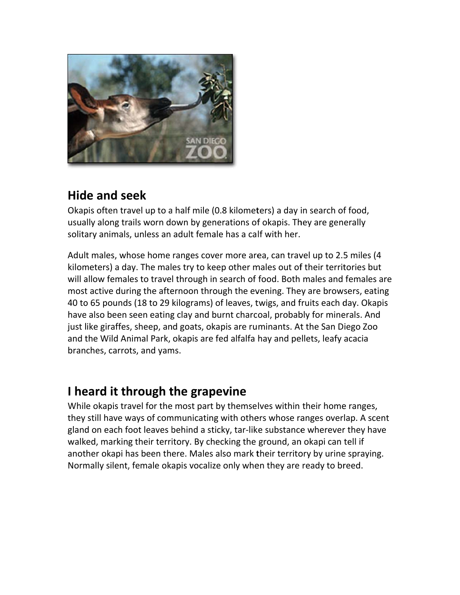

#### **Hide and seek**

Okapis often travel up to a half mile (0.8 kilometers) a day in search of food, usually along trails worn down by generations of okapis. They are generally solitary animals, unless an adult female has a calf with her.

Adult males, whose home ranges cover more area, can travel up to 2.5 miles (4 kilometers) a day. The males try to keep other males out of their territories but will allow females to travel through in search of food. Both males and females are most active during the afternoon through the evening. They are browsers, eating 40 to 65 pounds (18 to 29 kilograms) of leaves, twigs, and fruits each day. Okapis have also been seen eating clay and burnt charcoal, probably for minerals. And just like giraffes, sheep, and goats, okapis are ruminants. At the San Diego Zoo and the Wild Animal Park, okapis are fed alfalfa hay and pellets, leafy acacia branches, carrots, and yams.

#### I heard it through the grapevine

While okapis travel for the most part by themselves within their home ranges, they still have ways of communicating with others whose ranges overlap. A scent gland on each foot leaves behind a sticky, tar-like substance wherever they have walked, marking their territory. By checking the ground, an okapi can tell if another okapi has been there. Males also mark their territory by urine spraying. Normally silent, female okapis vocalize only when they are ready to breed.